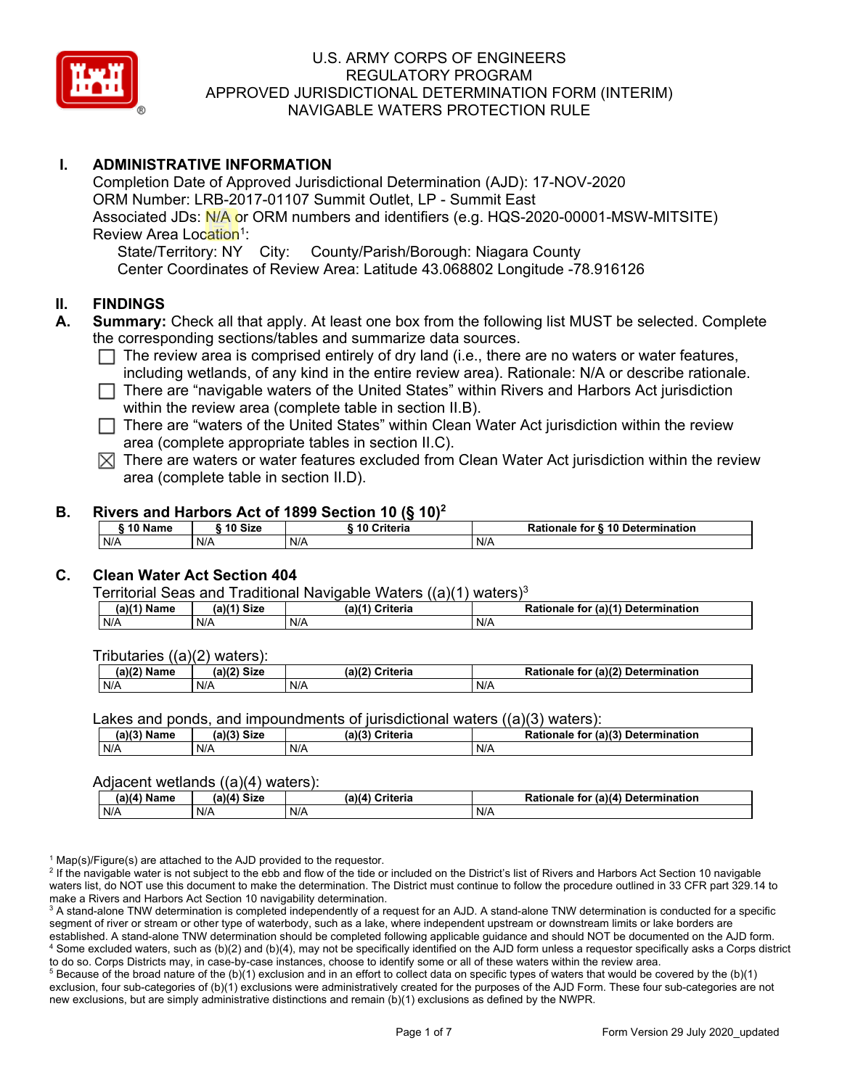

# **I. ADMINISTRATIVE INFORMATION**

Completion Date of Approved Jurisdictional Determination (AJD): 17-NOV-2020 ORM Number: LRB-2017-01107 Summit Outlet, LP - Summit East Associated JDs: N/A or ORM numbers and identifiers (e.g. HQS-2020-00001-MSW-MITSITE) Review Area Location<sup>1</sup>:

State/Territory: NY City: County/Parish/Borough: Niagara County Center Coordinates of Review Area: Latitude 43.068802 Longitude -78.916126

#### **II. FINDINGS**

- **A. Summary:** Check all that apply. At least one box from the following list MUST be selected. Complete the corresponding sections/tables and summarize data sources.
	- $\Box$  The review area is comprised entirely of dry land (i.e., there are no waters or water features, including wetlands, of any kind in the entire review area). Rationale: N/A or describe rationale.
	- $\Box$  There are "navigable waters of the United States" within Rivers and Harbors Act jurisdiction within the review area (complete table in section II.B).
	- $\Box$  There are "waters of the United States" within Clean Water Act jurisdiction within the review area (complete appropriate tables in section II.C).
	- $\boxtimes$  There are waters or water features excluded from Clean Water Act jurisdiction within the review area (complete table in section II.D).

#### **B. Rivers and Harbors Act of 1899 Section 10 (§ 10)<sup>2</sup>**

| 10 Name | 10 Size | ----<br>Criteria<br>. 10 | Rationale for § 10 Determination |
|---------|---------|--------------------------|----------------------------------|
| N/A     | N/A     | N/A                      | N/A                              |

### **C. Clean Water Act Section 404**

#### Territorial Seas and Traditional Navigable Waters ((a)(1) waters)3

| (a)('<br>Name | <b>Size</b><br>a)(1' | (a)/4<br>Criteria | (a)(1)<br>Determination<br>tor<br>tionale |
|---------------|----------------------|-------------------|-------------------------------------------|
| N/A           | N/A                  | N/A               | N/A                                       |

Tributaries ((a)(2) waters):

| $1001$ $B1 -$<br>Name | $-10o$<br>$\sim$ 0.4 $\sim$<br>יגוכ | a) (2<br>`riteria | (n)<br>Determi<br>ination<br>to<br>naie |
|-----------------------|-------------------------------------|-------------------|-----------------------------------------|
| N/A                   | N/A                                 | N/F               | N/A                                     |

Lakes and ponds, and impoundments of jurisdictional waters ((a)(3) waters):

| (a)(3) Name | $(a)(3)$ Size | (a)/2<br>Criteria | . (a) $(3)$<br>Determination<br>Rationale<br>tor |
|-------------|---------------|-------------------|--------------------------------------------------|
| N/A         | N/A           | N/f               | N/A                                              |

#### Adjacent wetlands ((a)(4) waters):

|               | .<br>.      |                 |                                                          |  |  |
|---------------|-------------|-----------------|----------------------------------------------------------|--|--|
| $(a)(4)$ Name | (a)(4) Size | (a)(4) Criteria | . for (a)(4)<br><b>Determination</b><br><b>Rationale</b> |  |  |
| N/A           | N/A         | N/A             | N/A                                                      |  |  |

 $1$  Map(s)/Figure(s) are attached to the AJD provided to the requestor.

<sup>2</sup> If the navigable water is not subject to the ebb and flow of the tide or included on the District's list of Rivers and Harbors Act Section 10 navigable waters list, do NOT use this document to make the determination. The District must continue to follow the procedure outlined in 33 CFR part 329.14 to make a Rivers and Harbors Act Section 10 navigability determination.

<sup>3</sup> A stand-alone TNW determination is completed independently of a request for an AJD. A stand-alone TNW determination is conducted for a specific segment of river or stream or other type of waterbody, such as a lake, where independent upstream or downstream limits or lake borders are established. A stand-alone TNW determination should be completed following applicable guidance and should NOT be documented on the AJD form. <sup>4</sup> Some excluded waters, such as (b)(2) and (b)(4), may not be specifically identified on the AJD form unless a requestor specifically asks a Corps district to do so. Corps Districts may, in case-by-case instances, choose to identify some or all of these waters within the review area.

 $5$  Because of the broad nature of the (b)(1) exclusion and in an effort to collect data on specific types of waters that would be covered by the (b)(1) exclusion, four sub-categories of (b)(1) exclusions were administratively created for the purposes of the AJD Form. These four sub-categories are not new exclusions, but are simply administrative distinctions and remain (b)(1) exclusions as defined by the NWPR.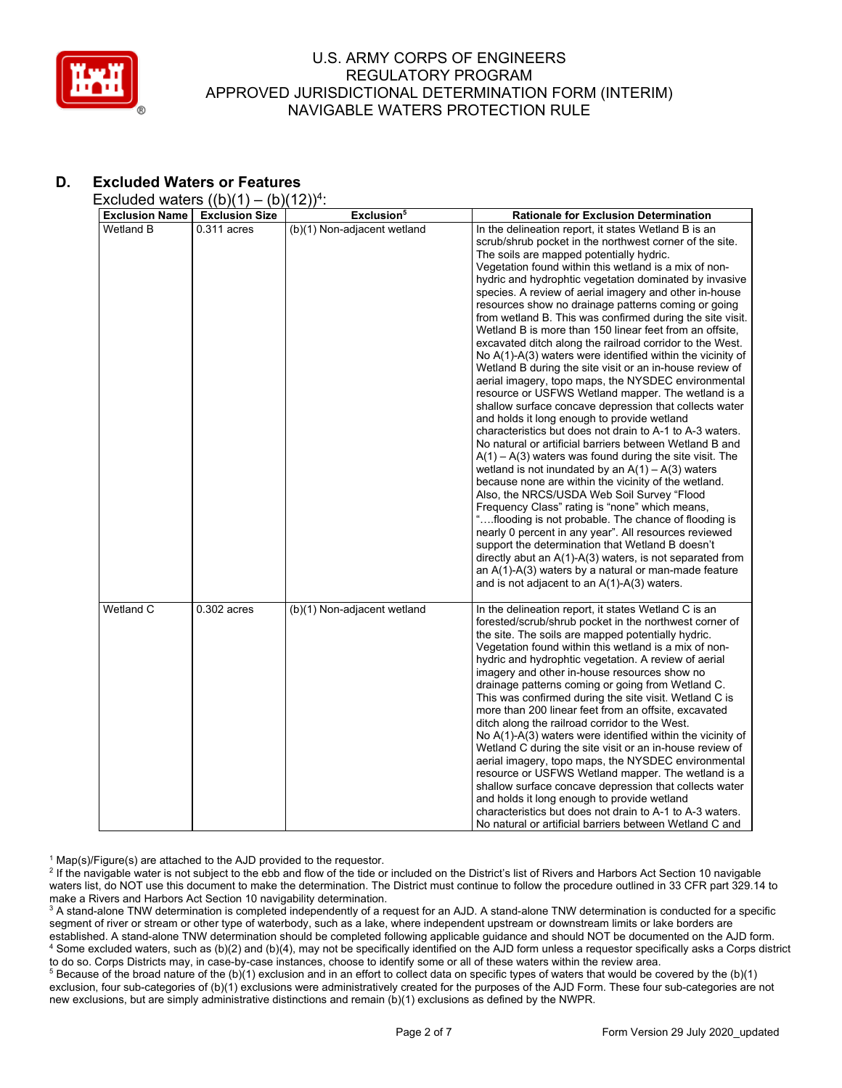

# **D. Excluded Waters or Features**

Excluded waters  $((b)(1) - (b)(12))^4$ :

| <b>Exclusion Name</b> | <b>Exclusion Size</b> | Exclusion <sup>5</sup>      | <b>Rationale for Exclusion Determination</b>                                                                                                                                                                                                                                                                                                                                                                                                                                                                                                                                                                                                                                                                                                                                                                                                                                                                                                                                                                                                                                                                                                                                                                                                                                                                                                                                                                                                                                                                                                                                                                                                                                                   |
|-----------------------|-----------------------|-----------------------------|------------------------------------------------------------------------------------------------------------------------------------------------------------------------------------------------------------------------------------------------------------------------------------------------------------------------------------------------------------------------------------------------------------------------------------------------------------------------------------------------------------------------------------------------------------------------------------------------------------------------------------------------------------------------------------------------------------------------------------------------------------------------------------------------------------------------------------------------------------------------------------------------------------------------------------------------------------------------------------------------------------------------------------------------------------------------------------------------------------------------------------------------------------------------------------------------------------------------------------------------------------------------------------------------------------------------------------------------------------------------------------------------------------------------------------------------------------------------------------------------------------------------------------------------------------------------------------------------------------------------------------------------------------------------------------------------|
| Wetland B             | $0.311$ acres         | (b)(1) Non-adjacent wetland | In the delineation report, it states Wetland B is an<br>scrub/shrub pocket in the northwest corner of the site.<br>The soils are mapped potentially hydric.<br>Vegetation found within this wetland is a mix of non-<br>hydric and hydrophtic vegetation dominated by invasive<br>species. A review of aerial imagery and other in-house<br>resources show no drainage patterns coming or going<br>from wetland B. This was confirmed during the site visit.<br>Wetland B is more than 150 linear feet from an offsite,<br>excavated ditch along the railroad corridor to the West.<br>No $A(1)$ - $A(3)$ waters were identified within the vicinity of<br>Wetland B during the site visit or an in-house review of<br>aerial imagery, topo maps, the NYSDEC environmental<br>resource or USFWS Wetland mapper. The wetland is a<br>shallow surface concave depression that collects water<br>and holds it long enough to provide wetland<br>characteristics but does not drain to A-1 to A-3 waters.<br>No natural or artificial barriers between Wetland B and<br>$A(1) - A(3)$ waters was found during the site visit. The<br>wetland is not inundated by an $A(1) - A(3)$ waters<br>because none are within the vicinity of the wetland.<br>Also, the NRCS/USDA Web Soil Survey "Flood<br>Frequency Class" rating is "none" which means,<br>"flooding is not probable. The chance of flooding is<br>nearly 0 percent in any year". All resources reviewed<br>support the determination that Wetland B doesn't<br>directly abut an $A(1)-A(3)$ waters, is not separated from<br>an $A(1)$ - $A(3)$ waters by a natural or man-made feature<br>and is not adjacent to an $A(1)-A(3)$ waters. |
| Wetland C             | $0.302$ acres         | (b)(1) Non-adjacent wetland | In the delineation report, it states Wetland C is an<br>forested/scrub/shrub pocket in the northwest corner of<br>the site. The soils are mapped potentially hydric.<br>Vegetation found within this wetland is a mix of non-<br>hydric and hydrophtic vegetation. A review of aerial<br>imagery and other in-house resources show no<br>drainage patterns coming or going from Wetland C.<br>This was confirmed during the site visit. Wetland C is<br>more than 200 linear feet from an offsite, excavated<br>ditch along the railroad corridor to the West.<br>No $A(1)$ - $A(3)$ waters were identified within the vicinity of<br>Wetland C during the site visit or an in-house review of<br>aerial imagery, topo maps, the NYSDEC environmental<br>resource or USFWS Wetland mapper. The wetland is a<br>shallow surface concave depression that collects water<br>and holds it long enough to provide wetland<br>characteristics but does not drain to A-1 to A-3 waters.<br>No natural or artificial barriers between Wetland C and                                                                                                                                                                                                                                                                                                                                                                                                                                                                                                                                                                                                                                                    |

 $1$  Map(s)/Figure(s) are attached to the AJD provided to the requestor.

<sup>2</sup> If the navigable water is not subject to the ebb and flow of the tide or included on the District's list of Rivers and Harbors Act Section 10 navigable waters list, do NOT use this document to make the determination. The District must continue to follow the procedure outlined in 33 CFR part 329.14 to make a Rivers and Harbors Act Section 10 navigability determination.

<sup>3</sup> A stand-alone TNW determination is completed independently of a request for an AJD. A stand-alone TNW determination is conducted for a specific segment of river or stream or other type of waterbody, such as a lake, where independent upstream or downstream limits or lake borders are established. A stand-alone TNW determination should be completed following applicable guidance and should NOT be documented on the AJD form. <sup>4</sup> Some excluded waters, such as (b)(2) and (b)(4), may not be specifically identified on the AJD form unless a requestor specifically asks a Corps district to do so. Corps Districts may, in case-by-case instances, choose to identify some or all of these waters within the review area.

<sup>5</sup> Because of the broad nature of the (b)(1) exclusion and in an effort to collect data on specific types of waters that would be covered by the (b)(1) exclusion, four sub-categories of (b)(1) exclusions were administratively created for the purposes of the AJD Form. These four sub-categories are not new exclusions, but are simply administrative distinctions and remain (b)(1) exclusions as defined by the NWPR.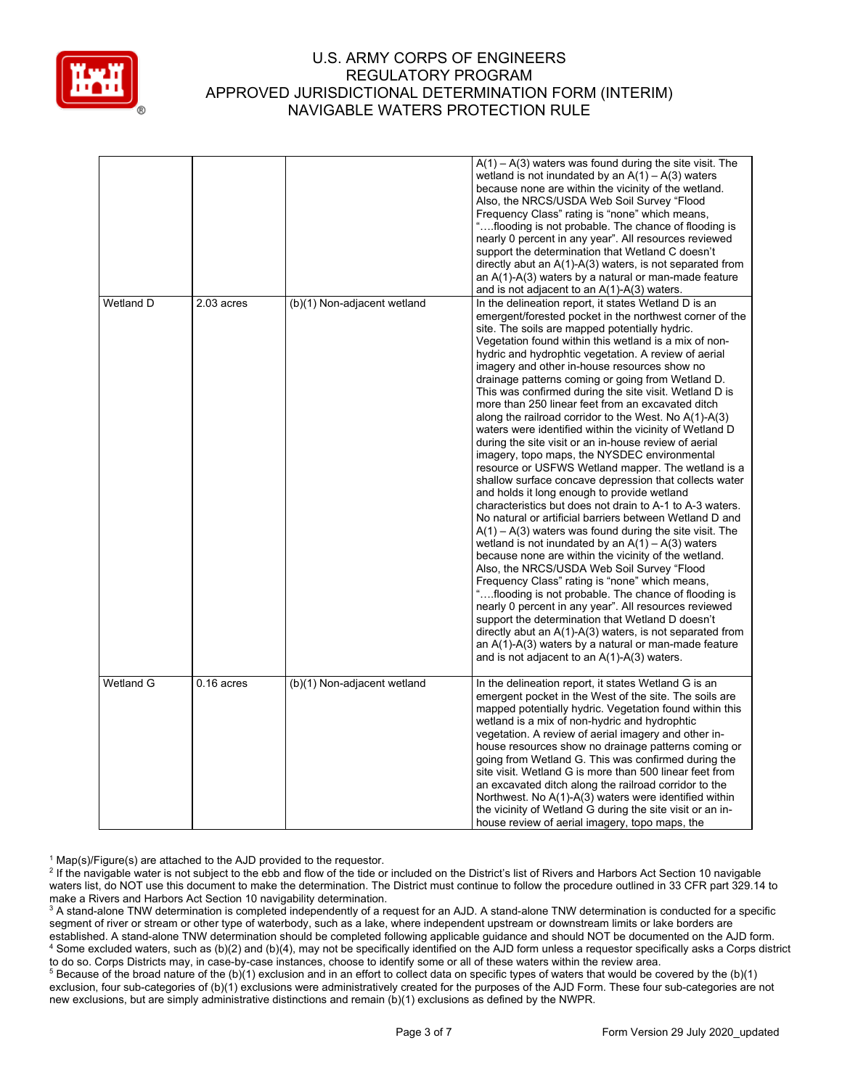

|           |              |                             | $A(1) - A(3)$ waters was found during the site visit. The<br>wetland is not inundated by an $A(1) - A(3)$ waters<br>because none are within the vicinity of the wetland.<br>Also, the NRCS/USDA Web Soil Survey "Flood<br>Frequency Class" rating is "none" which means,<br>"flooding is not probable. The chance of flooding is<br>nearly 0 percent in any year". All resources reviewed<br>support the determination that Wetland C doesn't<br>directly abut an $A(1)-A(3)$ waters, is not separated from<br>an $A(1)$ - $A(3)$ waters by a natural or man-made feature<br>and is not adjacent to an $A(1)-A(3)$ waters.                                                                                                                                                                                                                                                                                                                                                                                                                                                                                                                                                                                                                                                                                                                                                                                                                                                                                                                                                                                                                                |
|-----------|--------------|-----------------------------|-----------------------------------------------------------------------------------------------------------------------------------------------------------------------------------------------------------------------------------------------------------------------------------------------------------------------------------------------------------------------------------------------------------------------------------------------------------------------------------------------------------------------------------------------------------------------------------------------------------------------------------------------------------------------------------------------------------------------------------------------------------------------------------------------------------------------------------------------------------------------------------------------------------------------------------------------------------------------------------------------------------------------------------------------------------------------------------------------------------------------------------------------------------------------------------------------------------------------------------------------------------------------------------------------------------------------------------------------------------------------------------------------------------------------------------------------------------------------------------------------------------------------------------------------------------------------------------------------------------------------------------------------------------|
| Wetland D | 2.03 acres   | (b)(1) Non-adjacent wetland | In the delineation report, it states Wetland D is an<br>emergent/forested pocket in the northwest corner of the<br>site. The soils are mapped potentially hydric.<br>Vegetation found within this wetland is a mix of non-<br>hydric and hydrophtic vegetation. A review of aerial<br>imagery and other in-house resources show no<br>drainage patterns coming or going from Wetland D.<br>This was confirmed during the site visit. Wetland D is<br>more than 250 linear feet from an excavated ditch<br>along the railroad corridor to the West. No $A(1)-A(3)$<br>waters were identified within the vicinity of Wetland D<br>during the site visit or an in-house review of aerial<br>imagery, topo maps, the NYSDEC environmental<br>resource or USFWS Wetland mapper. The wetland is a<br>shallow surface concave depression that collects water<br>and holds it long enough to provide wetland<br>characteristics but does not drain to A-1 to A-3 waters.<br>No natural or artificial barriers between Wetland D and<br>$A(1) - A(3)$ waters was found during the site visit. The<br>wetland is not inundated by an $A(1) - A(3)$ waters<br>because none are within the vicinity of the wetland.<br>Also, the NRCS/USDA Web Soil Survey "Flood<br>Frequency Class" rating is "none" which means,<br>"flooding is not probable. The chance of flooding is<br>nearly 0 percent in any year". All resources reviewed<br>support the determination that Wetland D doesn't<br>directly abut an $A(1)-A(3)$ waters, is not separated from<br>an $A(1)$ - $A(3)$ waters by a natural or man-made feature<br>and is not adjacent to an $A(1)-A(3)$ waters. |
| Wetland G | $0.16$ acres | (b)(1) Non-adjacent wetland | In the delineation report, it states Wetland G is an<br>emergent pocket in the West of the site. The soils are<br>mapped potentially hydric. Vegetation found within this<br>wetland is a mix of non-hydric and hydrophtic<br>vegetation. A review of aerial imagery and other in-<br>house resources show no drainage patterns coming or<br>going from Wetland G. This was confirmed during the<br>site visit. Wetland G is more than 500 linear feet from<br>an excavated ditch along the railroad corridor to the<br>Northwest. No $A(1)-A(3)$ waters were identified within<br>the vicinity of Wetland G during the site visit or an in-<br>house review of aerial imagery, topo maps, the                                                                                                                                                                                                                                                                                                                                                                                                                                                                                                                                                                                                                                                                                                                                                                                                                                                                                                                                                            |

 $1$  Map(s)/Figure(s) are attached to the AJD provided to the requestor.

<sup>2</sup> If the navigable water is not subject to the ebb and flow of the tide or included on the District's list of Rivers and Harbors Act Section 10 navigable waters list, do NOT use this document to make the determination. The District must continue to follow the procedure outlined in 33 CFR part 329.14 to make a Rivers and Harbors Act Section 10 navigability determination.

<sup>3</sup> A stand-alone TNW determination is completed independently of a request for an AJD. A stand-alone TNW determination is conducted for a specific segment of river or stream or other type of waterbody, such as a lake, where independent upstream or downstream limits or lake borders are established. A stand-alone TNW determination should be completed following applicable guidance and should NOT be documented on the AJD form. <sup>4</sup> Some excluded waters, such as (b)(2) and (b)(4), may not be specifically identified on the AJD form unless a requestor specifically asks a Corps district to do so. Corps Districts may, in case-by-case instances, choose to identify some or all of these waters within the review area.

<sup>5</sup> Because of the broad nature of the (b)(1) exclusion and in an effort to collect data on specific types of waters that would be covered by the (b)(1) exclusion, four sub-categories of (b)(1) exclusions were administratively created for the purposes of the AJD Form. These four sub-categories are not new exclusions, but are simply administrative distinctions and remain (b)(1) exclusions as defined by the NWPR.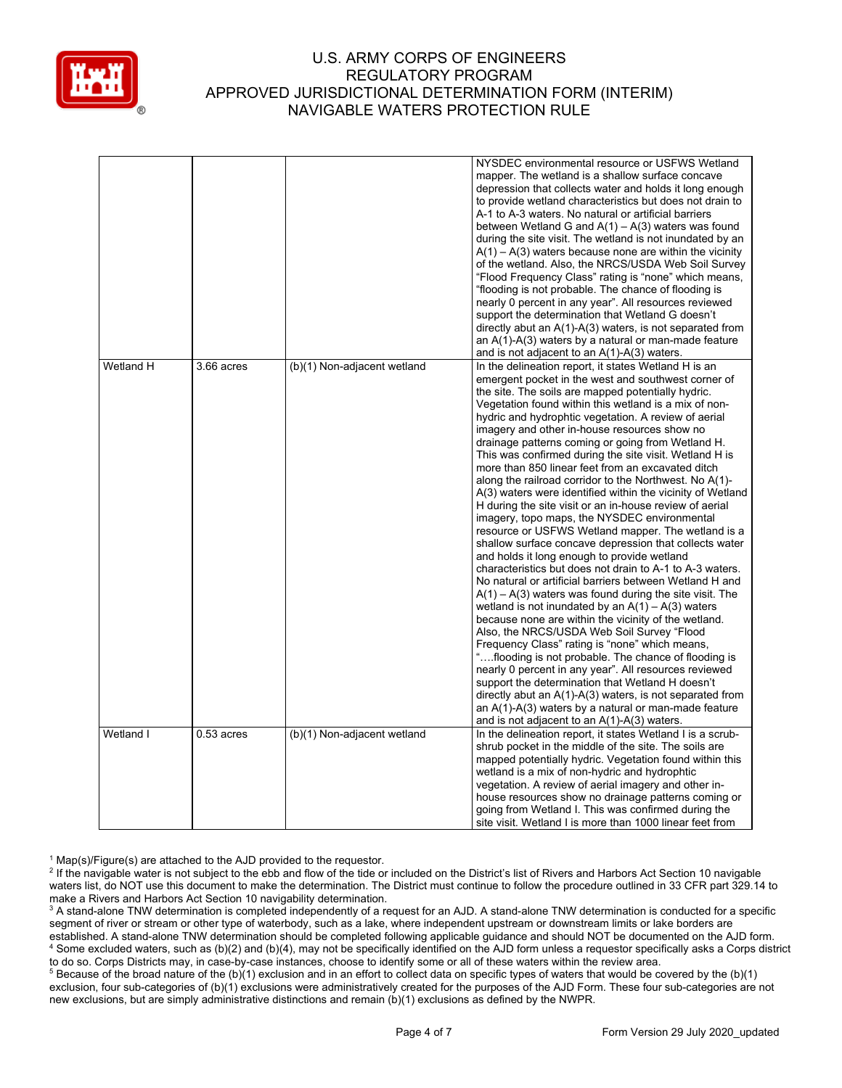

|           |              |                             | NYSDEC environmental resource or USFWS Wetland<br>mapper. The wetland is a shallow surface concave<br>depression that collects water and holds it long enough<br>to provide wetland characteristics but does not drain to<br>A-1 to A-3 waters. No natural or artificial barriers<br>between Wetland G and $A(1) - A(3)$ waters was found<br>during the site visit. The wetland is not inundated by an<br>$A(1) - A(3)$ waters because none are within the vicinity<br>of the wetland. Also, the NRCS/USDA Web Soil Survey<br>"Flood Frequency Class" rating is "none" which means,<br>"flooding is not probable. The chance of flooding is<br>nearly 0 percent in any year". All resources reviewed<br>support the determination that Wetland G doesn't<br>directly abut an $A(1)-A(3)$ waters, is not separated from<br>an A(1)-A(3) waters by a natural or man-made feature<br>and is not adjacent to an A(1)-A(3) waters.                                                                                                                                                                                                                                                                                                                                                                                                                                                                                                                                                                                                                                                                                                                       |
|-----------|--------------|-----------------------------|-----------------------------------------------------------------------------------------------------------------------------------------------------------------------------------------------------------------------------------------------------------------------------------------------------------------------------------------------------------------------------------------------------------------------------------------------------------------------------------------------------------------------------------------------------------------------------------------------------------------------------------------------------------------------------------------------------------------------------------------------------------------------------------------------------------------------------------------------------------------------------------------------------------------------------------------------------------------------------------------------------------------------------------------------------------------------------------------------------------------------------------------------------------------------------------------------------------------------------------------------------------------------------------------------------------------------------------------------------------------------------------------------------------------------------------------------------------------------------------------------------------------------------------------------------------------------------------------------------------------------------------------------------|
| Wetland H | 3.66 acres   | (b)(1) Non-adjacent wetland | In the delineation report, it states Wetland H is an<br>emergent pocket in the west and southwest corner of<br>the site. The soils are mapped potentially hydric.<br>Vegetation found within this wetland is a mix of non-<br>hydric and hydrophtic vegetation. A review of aerial<br>imagery and other in-house resources show no<br>drainage patterns coming or going from Wetland H.<br>This was confirmed during the site visit. Wetland H is<br>more than 850 linear feet from an excavated ditch<br>along the railroad corridor to the Northwest. No A(1)-<br>A(3) waters were identified within the vicinity of Wetland<br>H during the site visit or an in-house review of aerial<br>imagery, topo maps, the NYSDEC environmental<br>resource or USFWS Wetland mapper. The wetland is a<br>shallow surface concave depression that collects water<br>and holds it long enough to provide wetland<br>characteristics but does not drain to A-1 to A-3 waters.<br>No natural or artificial barriers between Wetland H and<br>$A(1) - A(3)$ waters was found during the site visit. The<br>wetland is not inundated by an $A(1) - A(3)$ waters<br>because none are within the vicinity of the wetland.<br>Also, the NRCS/USDA Web Soil Survey "Flood<br>Frequency Class" rating is "none" which means,<br>"flooding is not probable. The chance of flooding is<br>nearly 0 percent in any year". All resources reviewed<br>support the determination that Wetland H doesn't<br>directly abut an A(1)-A(3) waters, is not separated from<br>an A(1)-A(3) waters by a natural or man-made feature<br>and is not adjacent to an A(1)-A(3) waters. |
| Wetland I | $0.53$ acres | (b)(1) Non-adjacent wetland | In the delineation report, it states Wetland I is a scrub-<br>shrub pocket in the middle of the site. The soils are<br>mapped potentially hydric. Vegetation found within this<br>wetland is a mix of non-hydric and hydrophtic<br>vegetation. A review of aerial imagery and other in-<br>house resources show no drainage patterns coming or<br>going from Wetland I. This was confirmed during the<br>site visit. Wetland I is more than 1000 linear feet from                                                                                                                                                                                                                                                                                                                                                                                                                                                                                                                                                                                                                                                                                                                                                                                                                                                                                                                                                                                                                                                                                                                                                                                   |

 $1$  Map(s)/Figure(s) are attached to the AJD provided to the requestor.

<sup>&</sup>lt;sup>2</sup> If the navigable water is not subject to the ebb and flow of the tide or included on the District's list of Rivers and Harbors Act Section 10 navigable waters list, do NOT use this document to make the determination. The District must continue to follow the procedure outlined in 33 CFR part 329.14 to make a Rivers and Harbors Act Section 10 navigability determination.

<sup>&</sup>lt;sup>3</sup> A stand-alone TNW determination is completed independently of a request for an AJD. A stand-alone TNW determination is conducted for a specific segment of river or stream or other type of waterbody, such as a lake, where independent upstream or downstream limits or lake borders are established. A stand-alone TNW determination should be completed following applicable guidance and should NOT be documented on the AJD form. <sup>4</sup> Some excluded waters, such as (b)(2) and (b)(4), may not be specifically identified on the AJD form unless a requestor specifically asks a Corps district to do so. Corps Districts may, in case-by-case instances, choose to identify some or all of these waters within the review area.

<sup>&</sup>lt;sup>5</sup> Because of the broad nature of the (b)(1) exclusion and in an effort to collect data on specific types of waters that would be covered by the (b)(1) exclusion, four sub-categories of (b)(1) exclusions were administratively created for the purposes of the AJD Form. These four sub-categories are not new exclusions, but are simply administrative distinctions and remain (b)(1) exclusions as defined by the NWPR.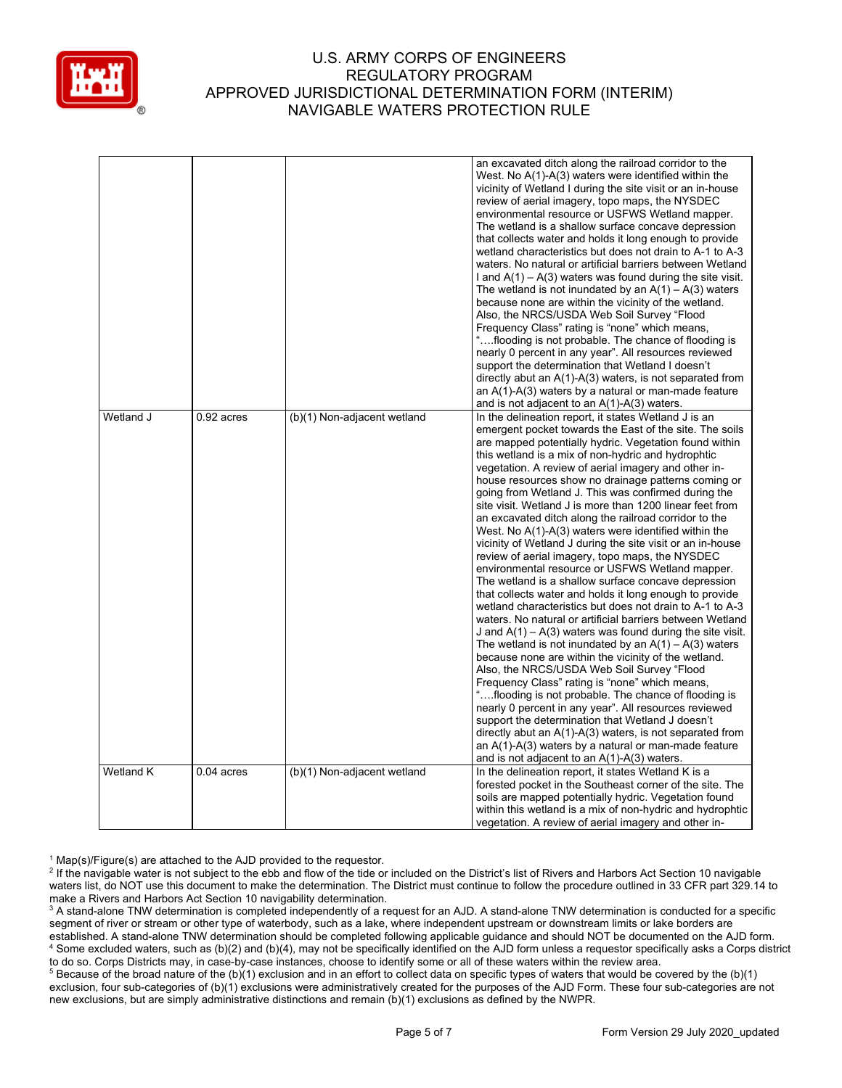

|           |              |                             | an excavated ditch along the railroad corridor to the<br>West. No A(1)-A(3) waters were identified within the<br>vicinity of Wetland I during the site visit or an in-house<br>review of aerial imagery, topo maps, the NYSDEC<br>environmental resource or USFWS Wetland mapper.<br>The wetland is a shallow surface concave depression<br>that collects water and holds it long enough to provide<br>wetland characteristics but does not drain to A-1 to A-3<br>waters. No natural or artificial barriers between Wetland<br>I and $A(1) - A(3)$ waters was found during the site visit.<br>The wetland is not inundated by an $A(1) - A(3)$ waters<br>because none are within the vicinity of the wetland.<br>Also, the NRCS/USDA Web Soil Survey "Flood<br>Frequency Class" rating is "none" which means,<br>"flooding is not probable. The chance of flooding is<br>nearly 0 percent in any year". All resources reviewed<br>support the determination that Wetland I doesn't<br>directly abut an $A(1)-A(3)$ waters, is not separated from<br>an $A(1)$ - $A(3)$ waters by a natural or man-made feature<br>and is not adjacent to an $A(1)-A(3)$ waters.                                                                                                                                                                                                                                                                                                                                                                                                                                                                      |
|-----------|--------------|-----------------------------|---------------------------------------------------------------------------------------------------------------------------------------------------------------------------------------------------------------------------------------------------------------------------------------------------------------------------------------------------------------------------------------------------------------------------------------------------------------------------------------------------------------------------------------------------------------------------------------------------------------------------------------------------------------------------------------------------------------------------------------------------------------------------------------------------------------------------------------------------------------------------------------------------------------------------------------------------------------------------------------------------------------------------------------------------------------------------------------------------------------------------------------------------------------------------------------------------------------------------------------------------------------------------------------------------------------------------------------------------------------------------------------------------------------------------------------------------------------------------------------------------------------------------------------------------------------------------------------------------------------------------------------|
| Wetland J | $0.92$ acres | (b)(1) Non-adjacent wetland | In the delineation report, it states Wetland J is an<br>emergent pocket towards the East of the site. The soils<br>are mapped potentially hydric. Vegetation found within<br>this wetland is a mix of non-hydric and hydrophtic<br>vegetation. A review of aerial imagery and other in-<br>house resources show no drainage patterns coming or<br>going from Wetland J. This was confirmed during the<br>site visit. Wetland J is more than 1200 linear feet from<br>an excavated ditch along the railroad corridor to the<br>West. No A(1)-A(3) waters were identified within the<br>vicinity of Wetland J during the site visit or an in-house<br>review of aerial imagery, topo maps, the NYSDEC<br>environmental resource or USFWS Wetland mapper.<br>The wetland is a shallow surface concave depression<br>that collects water and holds it long enough to provide<br>wetland characteristics but does not drain to A-1 to A-3<br>waters. No natural or artificial barriers between Wetland<br>J and $A(1) - A(3)$ waters was found during the site visit.<br>The wetland is not inundated by an $A(1) - A(3)$ waters<br>because none are within the vicinity of the wetland.<br>Also, the NRCS/USDA Web Soil Survey "Flood<br>Frequency Class" rating is "none" which means,<br>"flooding is not probable. The chance of flooding is<br>nearly 0 percent in any year". All resources reviewed<br>support the determination that Wetland J doesn't<br>directly abut an $A(1)-A(3)$ waters, is not separated from<br>an $A(1)$ - $A(3)$ waters by a natural or man-made feature<br>and is not adjacent to an $A(1)-A(3)$ waters. |
| Wetland K | $0.04$ acres | (b)(1) Non-adjacent wetland | In the delineation report, it states Wetland K is a<br>forested pocket in the Southeast corner of the site. The<br>soils are mapped potentially hydric. Vegetation found<br>within this wetland is a mix of non-hydric and hydrophtic<br>vegetation. A review of aerial imagery and other in-                                                                                                                                                                                                                                                                                                                                                                                                                                                                                                                                                                                                                                                                                                                                                                                                                                                                                                                                                                                                                                                                                                                                                                                                                                                                                                                                         |

 $1$  Map(s)/Figure(s) are attached to the AJD provided to the requestor.

<sup>5</sup> Because of the broad nature of the (b)(1) exclusion and in an effort to collect data on specific types of waters that would be covered by the (b)(1) exclusion, four sub-categories of (b)(1) exclusions were administratively created for the purposes of the AJD Form. These four sub-categories are not new exclusions, but are simply administrative distinctions and remain (b)(1) exclusions as defined by the NWPR.

<sup>&</sup>lt;sup>2</sup> If the navigable water is not subject to the ebb and flow of the tide or included on the District's list of Rivers and Harbors Act Section 10 navigable waters list, do NOT use this document to make the determination. The District must continue to follow the procedure outlined in 33 CFR part 329.14 to make a Rivers and Harbors Act Section 10 navigability determination.

<sup>&</sup>lt;sup>3</sup> A stand-alone TNW determination is completed independently of a request for an AJD. A stand-alone TNW determination is conducted for a specific segment of river or stream or other type of waterbody, such as a lake, where independent upstream or downstream limits or lake borders are established. A stand-alone TNW determination should be completed following applicable guidance and should NOT be documented on the AJD form. <sup>4</sup> Some excluded waters, such as (b)(2) and (b)(4), may not be specifically identified on the AJD form unless a requestor specifically asks a Corps district to do so. Corps Districts may, in case-by-case instances, choose to identify some or all of these waters within the review area.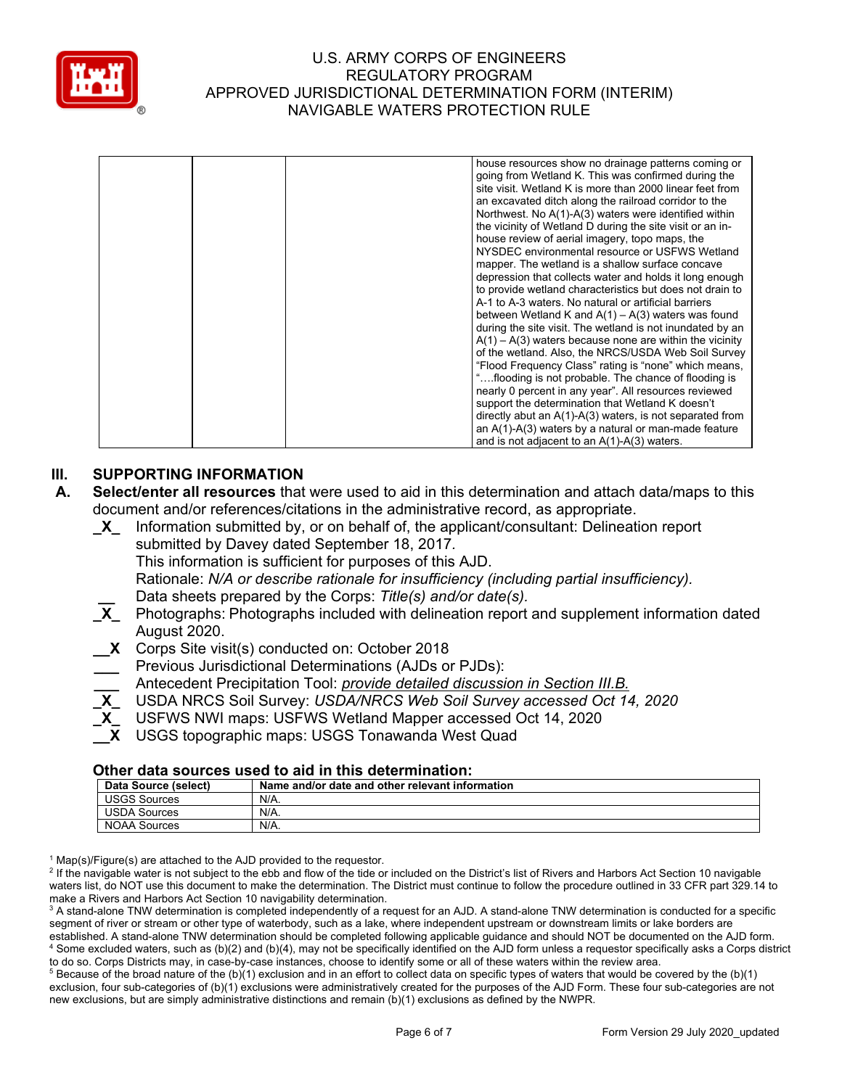

|  | house resources show no drainage patterns coming or        |
|--|------------------------------------------------------------|
|  | going from Wetland K. This was confirmed during the        |
|  | site visit. Wetland K is more than 2000 linear feet from   |
|  | an excavated ditch along the railroad corridor to the      |
|  | Northwest. No A(1)-A(3) waters were identified within      |
|  | the vicinity of Wetland D during the site visit or an in-  |
|  | house review of aerial imagery, topo maps, the             |
|  | NYSDEC environmental resource or USFWS Wetland             |
|  | mapper. The wetland is a shallow surface concave           |
|  | depression that collects water and holds it long enough    |
|  | to provide wetland characteristics but does not drain to   |
|  | A-1 to A-3 waters. No natural or artificial barriers       |
|  | between Wetland K and $A(1) - A(3)$ waters was found       |
|  | during the site visit. The wetland is not inundated by an  |
|  | $A(1) - A(3)$ waters because none are within the vicinity  |
|  | of the wetland. Also, the NRCS/USDA Web Soil Survey        |
|  | "Flood Frequency Class" rating is "none" which means,      |
|  | "flooding is not probable. The chance of flooding is       |
|  | nearly 0 percent in any year". All resources reviewed      |
|  | support the determination that Wetland K doesn't           |
|  | directly abut an $A(1)-A(3)$ waters, is not separated from |
|  | an $A(1)$ - $A(3)$ waters by a natural or man-made feature |
|  | and is not adjacent to an $A(1)-A(3)$ waters.              |

# **III. SUPPORTING INFORMATION**

- **A. Select/enter all resources** that were used to aid in this determination and attach data/maps to this document and/or references/citations in the administrative record, as appropriate.
	- **\_X\_** Information submitted by, or on behalf of, the applicant/consultant: Delineation report submitted by Davey dated September 18, 2017*.* This information is sufficient for purposes of this AJD. Rationale: *N/A or describe rationale for insufficiency (including partial insufficiency).* **\_\_** Data sheets prepared by the Corps: *Title(s) and/or date(s).*
	- **\_X\_** Photographs: Photographs included with delineation report and supplement information dated August 2020.
	- **\_\_X** Corps Site visit(s) conducted on: October 2018
	- **\_\_\_** Previous Jurisdictional Determinations (AJDs or PJDs):
	- **\_\_\_** Antecedent Precipitation Tool: *provide detailed discussion in Section III.B.*
	- **\_X\_** USDA NRCS Soil Survey: *USDA/NRCS Web Soil Survey accessed Oct 14, 2020*
	- **\_X\_** USFWS NWI maps: USFWS Wetland Mapper accessed Oct 14, 2020
	- **\_\_X** USGS topographic maps: USGS Tonawanda West Quad

#### **Other data sources used to aid in this determination:**

| Data Source (select) | Name and/or date and other relevant information |
|----------------------|-------------------------------------------------|
| USGS Sources         | N/A.                                            |
| USDA Sources         | N/A.                                            |
| <b>NOAA Sources</b>  | N/A.                                            |

 $1$  Map(s)/Figure(s) are attached to the AJD provided to the requestor.

<sup>2</sup> If the navigable water is not subject to the ebb and flow of the tide or included on the District's list of Rivers and Harbors Act Section 10 navigable waters list, do NOT use this document to make the determination. The District must continue to follow the procedure outlined in 33 CFR part 329.14 to make a Rivers and Harbors Act Section 10 navigability determination.

<sup>3</sup> A stand-alone TNW determination is completed independently of a request for an AJD. A stand-alone TNW determination is conducted for a specific segment of river or stream or other type of waterbody, such as a lake, where independent upstream or downstream limits or lake borders are established. A stand-alone TNW determination should be completed following applicable guidance and should NOT be documented on the AJD form. <sup>4</sup> Some excluded waters, such as (b)(2) and (b)(4), may not be specifically identified on the AJD form unless a requestor specifically asks a Corps district

to do so. Corps Districts may, in case-by-case instances, choose to identify some or all of these waters within the review area.  $5$  Because of the broad nature of the (b)(1) exclusion and in an effort to collect data on specific types of waters that would be covered by the (b)(1) exclusion, four sub-categories of (b)(1) exclusions were administratively created for the purposes of the AJD Form. These four sub-categories are not new exclusions, but are simply administrative distinctions and remain (b)(1) exclusions as defined by the NWPR.